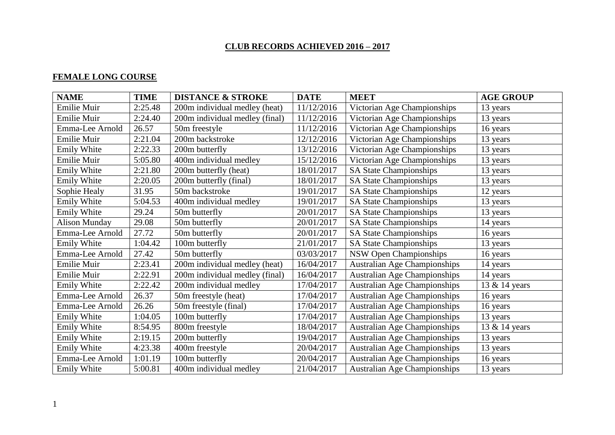#### **CLUB RECORDS ACHIEVED 2016 – 2017**

# **FEMALE LONG COURSE**

| <b>NAME</b>          | <b>TIME</b> | <b>DISTANCE &amp; STROKE</b>   | <b>DATE</b> | <b>MEET</b>                         | <b>AGE GROUP</b> |
|----------------------|-------------|--------------------------------|-------------|-------------------------------------|------------------|
| Emilie Muir          | 2:25.48     | 200m individual medley (heat)  | 11/12/2016  | Victorian Age Championships         | 13 years         |
| Emilie Muir          | 2:24.40     | 200m individual medley (final) | 11/12/2016  | Victorian Age Championships         | 13 years         |
| Emma-Lee Arnold      | 26.57       | 50m freestyle                  | 11/12/2016  | Victorian Age Championships         | 16 years         |
| Emilie Muir          | 2:21.04     | 200m backstroke                | 12/12/2016  | Victorian Age Championships         | 13 years         |
| Emily White          | 2:22.33     | 200m butterfly                 | 13/12/2016  | Victorian Age Championships         | 13 years         |
| Emilie Muir          | 5:05.80     | 400m individual medley         | 15/12/2016  | Victorian Age Championships         | 13 years         |
| Emily White          | 2:21.80     | 200m butterfly (heat)          | 18/01/2017  | <b>SA State Championships</b>       | 13 years         |
| Emily White          | 2:20.05     | 200m butterfly (final)         | 18/01/2017  | <b>SA State Championships</b>       | 13 years         |
| Sophie Healy         | 31.95       | 50m backstroke                 | 19/01/2017  | <b>SA State Championships</b>       | 12 years         |
| <b>Emily White</b>   | 5:04.53     | 400m individual medley         | 19/01/2017  | <b>SA State Championships</b>       | 13 years         |
| Emily White          | 29.24       | 50m butterfly                  | 20/01/2017  | <b>SA State Championships</b>       | 13 years         |
| <b>Alison Munday</b> | 29.08       | 50m butterfly                  | 20/01/2017  | <b>SA State Championships</b>       | 14 years         |
| Emma-Lee Arnold      | 27.72       | 50m butterfly                  | 20/01/2017  | <b>SA State Championships</b>       | 16 years         |
| <b>Emily White</b>   | 1:04.42     | 100m butterfly                 | 21/01/2017  | SA State Championships              | 13 years         |
| Emma-Lee Arnold      | 27.42       | 50m butterfly                  | 03/03/2017  | <b>NSW Open Championships</b>       | 16 years         |
| Emilie Muir          | 2:23.41     | 200m individual medley (heat)  | 16/04/2017  | <b>Australian Age Championships</b> | 14 years         |
| Emilie Muir          | 2:22.91     | 200m individual medley (final) | 16/04/2017  | <b>Australian Age Championships</b> | 14 years         |
| <b>Emily White</b>   | 2:22.42     | 200m individual medley         | 17/04/2017  | <b>Australian Age Championships</b> | 13 & 14 years    |
| Emma-Lee Arnold      | 26.37       | 50m freestyle (heat)           | 17/04/2017  | <b>Australian Age Championships</b> | 16 years         |
| Emma-Lee Arnold      | 26.26       | 50m freestyle (final)          | 17/04/2017  | <b>Australian Age Championships</b> | 16 years         |
| Emily White          | 1:04.05     | 100m butterfly                 | 17/04/2017  | <b>Australian Age Championships</b> | 13 years         |
| Emily White          | 8:54.95     | 800m freestyle                 | 18/04/2017  | <b>Australian Age Championships</b> | 13 & 14 years    |
| Emily White          | 2:19.15     | 200m butterfly                 | 19/04/2017  | <b>Australian Age Championships</b> | 13 years         |
| <b>Emily White</b>   | 4:23.38     | 400m freestyle                 | 20/04/2017  | Australian Age Championships        | 13 years         |
| Emma-Lee Arnold      | 1:01.19     | 100m butterfly                 | 20/04/2017  | <b>Australian Age Championships</b> | 16 years         |
| <b>Emily White</b>   | 5:00.81     | 400m individual medley         | 21/04/2017  | <b>Australian Age Championships</b> | 13 years         |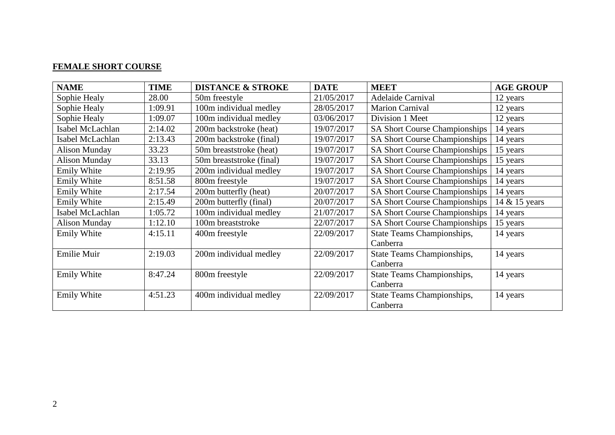# **FEMALE SHORT COURSE**

| <b>NAME</b>          | <b>TIME</b> | <b>DISTANCE &amp; STROKE</b> | <b>DATE</b> | <b>MEET</b>                          | <b>AGE GROUP</b> |
|----------------------|-------------|------------------------------|-------------|--------------------------------------|------------------|
| Sophie Healy         | 28.00       | 50m freestyle                | 21/05/2017  | <b>Adelaide Carnival</b>             | 12 years         |
| Sophie Healy         | 1:09.91     | 100m individual medley       | 28/05/2017  | <b>Marion Carnival</b>               | 12 years         |
| Sophie Healy         | 1:09.07     | 100m individual medley       | 03/06/2017  | Division 1 Meet                      | 12 years         |
| Isabel McLachlan     | 2:14.02     | 200m backstroke (heat)       | 19/07/2017  | <b>SA Short Course Championships</b> | 14 years         |
| Isabel McLachlan     | 2:13.43     | 200m backstroke (final)      | 19/07/2017  | <b>SA Short Course Championships</b> | 14 years         |
| <b>Alison Munday</b> | 33.23       | 50m breaststroke (heat)      | 19/07/2017  | <b>SA Short Course Championships</b> | 15 years         |
| <b>Alison Munday</b> | 33.13       | 50m breaststroke (final)     | 19/07/2017  | SA Short Course Championships        | 15 years         |
| Emily White          | 2:19.95     | 200m individual medley       | 19/07/2017  | <b>SA Short Course Championships</b> | 14 years         |
| Emily White          | 8:51.58     | 800m freestyle               | 19/07/2017  | <b>SA Short Course Championships</b> | 14 years         |
| Emily White          | 2:17.54     | 200m butterfly (heat)        | 20/07/2017  | SA Short Course Championships        | 14 years         |
| Emily White          | 2:15.49     | 200m butterfly (final)       | 20/07/2017  | <b>SA Short Course Championships</b> | 14 & 15 years    |
| Isabel McLachlan     | 1:05.72     | 100m individual medley       | 21/07/2017  | <b>SA Short Course Championships</b> | 14 years         |
| <b>Alison Munday</b> | 1:12.10     | 100m breaststroke            | 22/07/2017  | <b>SA Short Course Championships</b> | 15 years         |
| Emily White          | 4:15.11     | 400m freestyle               | 22/09/2017  | <b>State Teams Championships,</b>    | 14 years         |
|                      |             |                              |             | Canberra                             |                  |
| <b>Emilie Muir</b>   | 2:19.03     | 200m individual medley       | 22/09/2017  | State Teams Championships,           | 14 years         |
|                      |             |                              |             | Canberra                             |                  |
| Emily White          | 8:47.24     | 800m freestyle               | 22/09/2017  | <b>State Teams Championships,</b>    | 14 years         |
|                      |             |                              |             | Canberra                             |                  |
| Emily White          | 4:51.23     | 400m individual medley       | 22/09/2017  | State Teams Championships,           | 14 years         |
|                      |             |                              |             | Canberra                             |                  |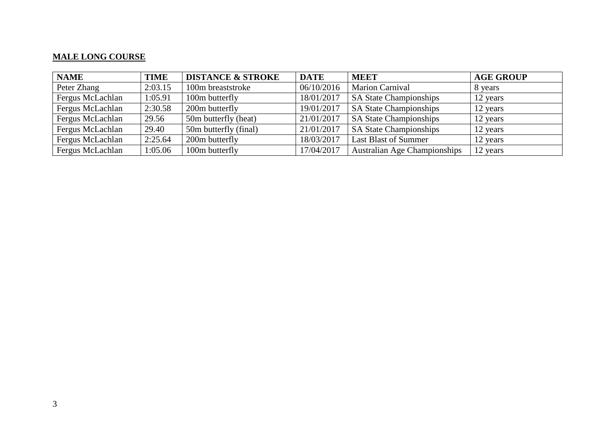### **MALE LONG COURSE**

| <b>NAME</b>      | <b>TIME</b> | <b>DISTANCE &amp; STROKE</b> | <b>DATE</b> | <b>MEET</b>                         | <b>AGE GROUP</b> |
|------------------|-------------|------------------------------|-------------|-------------------------------------|------------------|
| Peter Zhang      | 2:03.15     | 100m breaststroke            | 06/10/2016  | <b>Marion Carnival</b>              | 8 years          |
| Fergus McLachlan | 1:05.91     | 100m butterfly               | 18/01/2017  | <b>SA State Championships</b>       | 12 years         |
| Fergus McLachlan | 2:30.58     | 200m butterfly               | 19/01/2017  | <b>SA State Championships</b>       | 12 years         |
| Fergus McLachlan | 29.56       | 50m butterfly (heat)         | 21/01/2017  | <b>SA State Championships</b>       | 12 years         |
| Fergus McLachlan | 29.40       | 50m butterfly (final)        | 21/01/2017  | <b>SA State Championships</b>       | 12 years         |
| Fergus McLachlan | 2:25.64     | 200m butterfly               | 18/03/2017  | <b>Last Blast of Summer</b>         | 12 years         |
| Fergus McLachlan | 1:05.06     | 100m butterfly               | 17/04/2017  | <b>Australian Age Championships</b> | 12 years         |